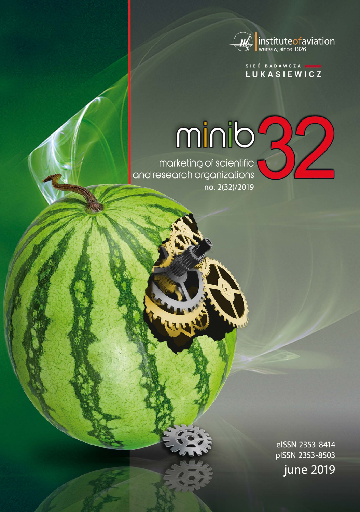

SIEĆ BADAWCZA **LUKASIEWICZ** 

# minib<sup>2</sup>

marketing of scientific<br>and research organizations no. 2(32)/2019

> elSSN 2353-8414 pISSN 2353-8503 june 2019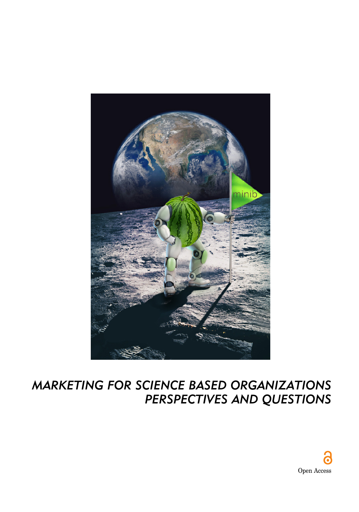

## *MARKETING FOR SCIENCE BASED ORGANIZATIONS PERSPECTIVES AND QUESTIONS*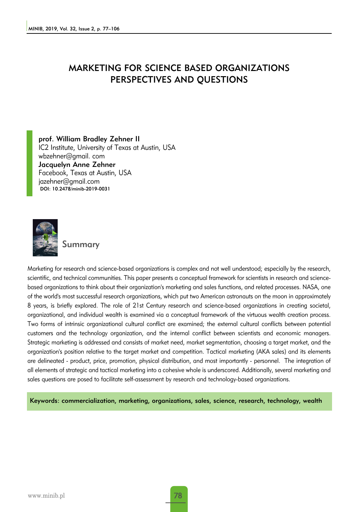#### MARKETING FOR SCIENCE BASED ORGANIZATIONS PERSPECTIVES AND QUESTIONS

prof. William Bradley Zehner II IC2 Institute, University of Texas at Austin, USA wbzehner@gmail. com Jacquelyn Anne Zehner Facebook, Texas at Austin, USA jazehner@gmail.com DOI: 10.2478/minib-2019-0031



Summary

Marketing for research and science-based organizations is complex and not well understood; especially by the research, scientific, and technical communities. This paper presents a conceptual framework for scientists in research and sciencebased organizations to think about their organization's marketing and sales functions, and related processes. NASA, one of the world's most successful research organizations, which put two American astronauts on the moon in approximately 8 years, is briefly explored. The role of 21st Century research and science-based organizations in creating societal, organizational, and individual wealth is examined via a conceptual framework of the virtuous wealth creation process. Two forms of intrinsic organizational cultural conflict are examined; the external cultural conflicts between potential customers and the technology organization, and the internal conflict between scientists and economic managers. Strategic marketing is addressed and consists of market need, market segmentation, choosing a target market, and the organization's position relative to the target market and competition. Tactical marketing (AKA sales) and its elements are delineated - product, price, promotion, physical distribution, and most importantly - personnel. The integration of all elements of strategic and tactical marketing into a cohesive whole is underscored. Additionally, several marketing and sales questions are posed to facilitate self-assessment by research and technology-based organizations.

Keywords: commercialization, marketing, organizations, sales, science, research, technology, wealth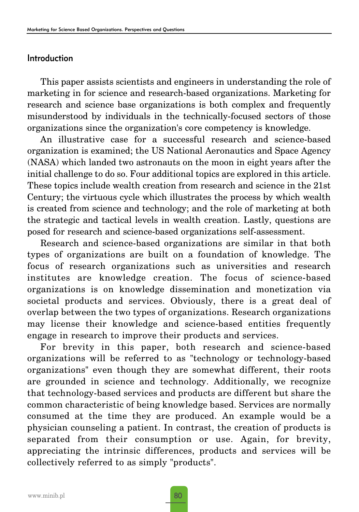#### Introduction

This paper assists scientists and engineers in understanding the role of marketing in for science and research-based organizations. Marketing for research and science base organizations is both complex and frequently misunderstood by individuals in the technically-focused sectors of those organizations since the organization's core competency is knowledge.

An illustrative case for a successful research and science-based organization is examined; the US National Aeronautics and Space Agency (NASA) which landed two astronauts on the moon in eight years after the initial challenge to do so. Four additional topics are explored in this article. These topics include wealth creation from research and science in the 21st Century; the virtuous cycle which illustrates the process by which wealth is created from science and technology; and the role of marketing at both the strategic and tactical levels in wealth creation. Lastly, questions are posed for research and science-based organizations self-assessment.

Research and science-based organizations are similar in that both types of organizations are built on a foundation of knowledge. The focus of research organizations such as universities and research institutes are knowledge creation. The focus of science-based organizations is on knowledge dissemination and monetization via societal products and services. Obviously, there is a great deal of overlap between the two types of organizations. Research organizations may license their knowledge and science-based entities frequently engage in research to improve their products and services.

For brevity in this paper, both research and science-based organizations will be referred to as "technology or technology-based organizations" even though they are somewhat different, their roots are grounded in science and technology. Additionally, we recognize that technology-based services and products are different but share the common characteristic of being knowledge based. Services are normally consumed at the time they are produced. An example would be a physician counseling a patient. In contrast, the creation of products is separated from their consumption or use. Again, for brevity, appreciating the intrinsic differences, products and services will be collectively referred to as simply "products".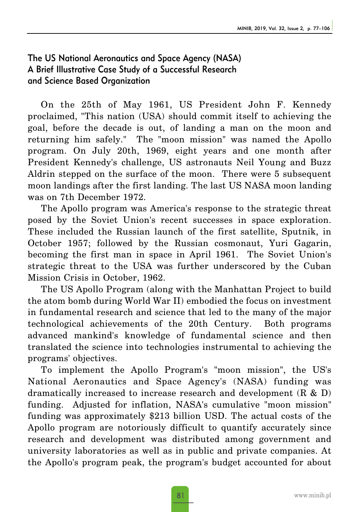### The US National Aeronautics and Space Agency (NASA) A Brief Illustrative Case Study of a Successful Research and Science Based Organization

On the 25th of May 1961, US President John F. Kennedy proclaimed, "This nation (USA) should commit itself to achieving the goal, before the decade is out, of landing a man on the moon and returning him safely." The "moon mission" was named the Apollo program. On July 20th, 1969, eight years and one month after President Kennedy's challenge, US astronauts Neil Young and Buzz Aldrin stepped on the surface of the moon. There were 5 subsequent moon landings after the first landing. The last US NASA moon landing was on 7th December 1972.

The Apollo program was America's response to the strategic threat posed by the Soviet Union's recent successes in space exploration. These included the Russian launch of the first satellite, Sputnik, in October 1957; followed by the Russian cosmonaut, Yuri Gagarin, becoming the first man in space in April 1961. The Soviet Union's strategic threat to the USA was further underscored by the Cuban Mission Crisis in October, 1962.

The US Apollo Program (along with the Manhattan Project to build the atom bomb during World War II) embodied the focus on investment in fundamental research and science that led to the many of the major technological achievements of the 20th Century. Both programs advanced mankind's knowledge of fundamental science and then translated the science into technologies instrumental to achieving the programs' objectives.

To implement the Apollo Program's "moon mission", the US's National Aeronautics and Space Agency's (NASA) funding was dramatically increased to increase research and development (R & D) funding. Adjusted for inflation, NASA's cumulative "moon mission" funding was approximately \$213 billion USD. The actual costs of the Apollo program are notoriously difficult to quantify accurately since research and development was distributed among government and university laboratories as well as in public and private companies. At the Apollo's program peak, the program's budget accounted for about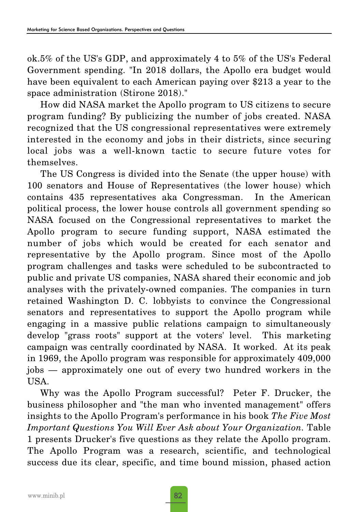ok.5% of the US's GDP, and approximately 4 to 5% of the US's Federal Government spending. "In 2018 dollars, the Apollo era budget would have been equivalent to each American paying over \$213 a year to the space administration (Stirone 2018)."

How did NASA market the Apollo program to US citizens to secure program funding? By publicizing the number of jobs created. NASA recognized that the US congressional representatives were extremely interested in the economy and jobs in their districts, since securing local jobs was a well-known tactic to secure future votes for themselves.

The US Congress is divided into the Senate (the upper house) with 100 senators and House of Representatives (the lower house) which contains 435 representatives aka Congressman. In the American political process, the lower house controls all government spending so NASA focused on the Congressional representatives to market the Apollo program to secure funding support, NASA estimated the number of jobs which would be created for each senator and representative by the Apollo program. Since most of the Apollo program challenges and tasks were scheduled to be subcontracted to public and private US companies, NASA shared their economic and job analyses with the privately-owned companies. The companies in turn retained Washington D. C. lobbyists to convince the Congressional senators and representatives to support the Apollo program while engaging in a massive public relations campaign to simultaneously develop "grass roots" support at the voters' level. This marketing campaign was centrally coordinated by NASA. It worked. At its peak in 1969, the Apollo program was responsible for approximately 409,000 jobs — approximately one out of every two hundred workers in the USA.

Why was the Apollo Program successful? Peter F. Drucker, the business philosopher and "the man who invented management" offers insights to the Apollo Program's performance in his book *The Five Most Important Questions You Will Ever Ask about Your Organization.* Table 1 presents Drucker's five questions as they relate the Apollo program. The Apollo Program was a research, scientific, and technological success due its clear, specific, and time bound mission, phased action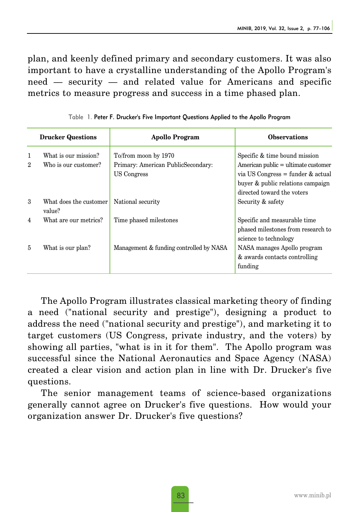plan, and keenly defined primary and secondary customers. It was also important to have a crystalline understanding of the Apollo Program's need — security — and related value for Americans and specific metrics to measure progress and success in a time phased plan.

|                | <b>Drucker Questions</b>                     | <b>Apollo Program</b>                                                     | <b>Observations</b>                                                                                                                                                            |
|----------------|----------------------------------------------|---------------------------------------------------------------------------|--------------------------------------------------------------------------------------------------------------------------------------------------------------------------------|
| 1<br>2         | What is our mission?<br>Who is our customer? | To/from moon by 1970<br>Primary: American PublicSecondary:<br>US Congress | Specific & time bound mission<br>American public = ultimate customer<br>via US Congress = funder $&$ actual<br>buyer & public relations campaign<br>directed toward the voters |
| 3              | What does the customer<br>value?             | National security                                                         | Security & safety                                                                                                                                                              |
| 4              | What are our metrics?                        | Time phased milestones                                                    | Specific and measurable time<br>phased milestones from research to<br>science to technology                                                                                    |
| $\overline{5}$ | What is our plan?                            | Management & funding controlled by NASA                                   | NASA manages Apollo program<br>& awards contacts controlling<br>funding                                                                                                        |

|  | Table 1. Peter F. Drucker's Five Important Questions Applied to the Apollo Program |
|--|------------------------------------------------------------------------------------|
|--|------------------------------------------------------------------------------------|

The Apollo Program illustrates classical marketing theory of finding a need ("national security and prestige"), designing a product to address the need ("national security and prestige"), and marketing it to target customers (US Congress, private industry, and the voters) by showing all parties, "what is in it for them". The Apollo program was successful since the National Aeronautics and Space Agency (NASA) created a clear vision and action plan in line with Dr. Drucker's five questions.

The senior management teams of science-based organizations generally cannot agree on Drucker's five questions. How would your organization answer Dr. Drucker's five questions?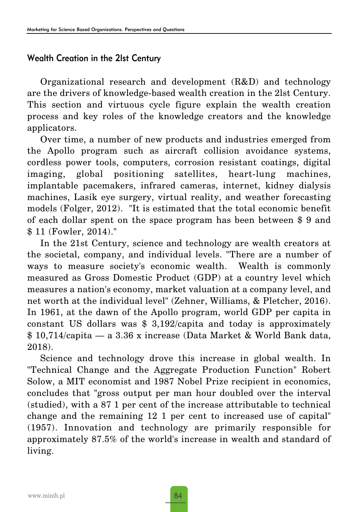#### Wealth Creation in the 2lst Century

Organizational research and development (R&D) and technology are the drivers of knowledge-based wealth creation in the 2lst Century. This section and virtuous cycle figure explain the wealth creation process and key roles of the knowledge creators and the knowledge applicators.

Over time, a number of new products and industries emerged from the Apollo program such as aircraft collision avoidance systems, cordless power tools, computers, corrosion resistant coatings, digital imaging, global positioning satellites, heart-lung machines, implantable pacemakers, infrared cameras, internet, kidney dialysis machines, Lasik eye surgery, virtual reality, and weather forecasting models (Folger, 2012). "It is estimated that the total economic benefit of each dollar spent on the space program has been between \$ 9 and \$ 11 (Fowler, 2014)."

In the 21st Century, science and technology are wealth creators at the societal, company, and individual levels. "There are a number of ways to measure society's economic wealth. Wealth is commonly measured as Gross Domestic Product (GDP) at a country level which measures a nation's economy, market valuation at a company level, and net worth at the individual level" (Zehner, Williams, & Pletcher, 2016). In 1961, at the dawn of the Apollo program, world GDP per capita in constant US dollars was \$ 3,192/capita and today is approximately \$ 10,714/capita — a 3.36 x increase (Data Market & World Bank data, 2018).

Science and technology drove this increase in global wealth. In "Technical Change and the Aggregate Production Function" Robert Solow, a MIT economist and 1987 Nobel Prize recipient in economics, concludes that "gross output per man hour doubled over the interval (studied), with a 87 1 per cent of the increase attributable to technical change and the remaining 12 1 per cent to increased use of capital" (1957). Innovation and technology are primarily responsible for approximately 87.5% of the world's increase in wealth and standard of living.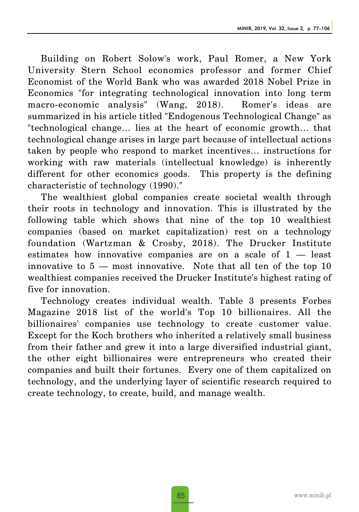Building on Robert Solow's work, Paul Romer, a New York University Stern School economics professor and former Chief Economist of the World Bank who was awarded 2018 Nobel Prize in Economics "for integrating technological innovation into long term macro-economic analysis" (Wang, 2018). Romer's ideas are summarized in his article titled "Endogenous Technological Change" as "technological change… lies at the heart of economic growth… that technological change arises in large part because of intellectual actions taken by people who respond to market incentives… instructions for working with raw materials (intellectual knowledge) is inherently different for other economics goods. This property is the defining characteristic of technology (1990)."

The wealthiest global companies create societal wealth through their roots in technology and innovation. This is illustrated by the following table which shows that nine of the top 10 wealthiest companies (based on market capitalization) rest on a technology foundation (Wartzman & Crosby, 2018). The Drucker Institute estimates how innovative companies are on a scale of 1 — least innovative to  $5$  — most innovative. Note that all ten of the top 10 wealthiest companies received the Drucker Institute's highest rating of five for innovation.

Technology creates individual wealth. Table 3 presents Forbes Magazine 2018 list of the world's Top 10 billionaires. All the billionaires' companies use technology to create customer value. Except for the Koch brothers who inherited a relatively small business from their father and grew it into a large diversified industrial giant, the other eight billionaires were entrepreneurs who created their companies and built their fortunes. Every one of them capitalized on technology, and the underlying layer of scientific research required to create technology, to create, build, and manage wealth.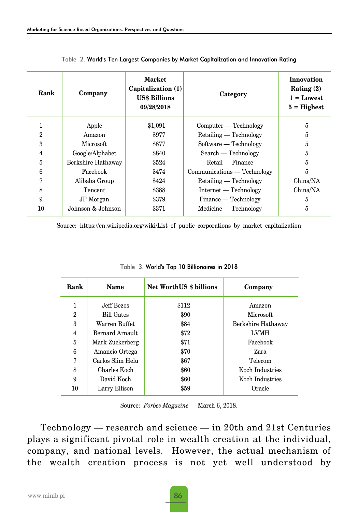| Rank         | Company            | <b>Market</b><br>Capitalization (1)<br><b>US\$ Billions</b><br>09/28/2018 | Category                    | Innovation<br>Rating $(2)$<br>$1 =$ Lowest<br>$5 =$ Highest |
|--------------|--------------------|---------------------------------------------------------------------------|-----------------------------|-------------------------------------------------------------|
|              | Apple              | \$1,091                                                                   | $Computer - Technology$     | 5                                                           |
| $\mathbf{2}$ | Amazon             | \$977                                                                     | $Retailing - Technology$    | 5                                                           |
| 3            | Microsoft          | \$877                                                                     | Software — Technology       | 5                                                           |
| 4            | Google/Alphabet    | \$840                                                                     | Search — Technology         | 5                                                           |
| 5            | Berkshire Hathaway | \$524                                                                     | Retail — Finance            | 5                                                           |
| 6            | Facebook           | \$474                                                                     | Communications — Technology | 5                                                           |
| 7            | Alibaba Group      | \$424                                                                     | $Retailing - Technology$    | China/NA                                                    |
| 8            | Tencent            | \$388                                                                     | $Internet - Technology$     | China/NA                                                    |
| 9            | JP Morgan          | \$379                                                                     | Finance — Technology        | 5                                                           |
| 10           | Johnson & Johnson  | \$371                                                                     | $Medicine - Technology$     | 5                                                           |

Table 2. World's Ten Largest Companies by Market Capitalization and Innovation Rating

Source: https://en.wikipedia.org/wiki/List\_of\_public\_corporations\_by\_market\_capitalization

| Rank | Name              | <b>Net WorthUS \$ billions</b> | Company            |
|------|-------------------|--------------------------------|--------------------|
|      | Jeff Bezos        | \$112                          | Amazon             |
| 2    | <b>Bill Gates</b> | \$90                           | Microsoft          |
| 3    | Warren Buffet     | \$84                           | Berkshire Hathaway |
| 4    | Bernard Arnault   | \$72                           | <b>LVMH</b>        |
| 5    | Mark Zuckerberg   | \$71                           | Facebook           |
| 6    | Amancio Ortega    | \$70                           | Zara               |
| 7    | Carlos Slim Helu  | \$67                           | Telecom            |
| 8    | Charles Koch      | \$60                           | Koch Industries    |
| 9    | David Koch        | \$60                           | Koch Industries    |
| 10   | Larry Ellison     | \$59                           | Oracle             |

Table 3. World's Top 10 Billionaires in 2018

Source: *Forbes Magazine* — March 6, 2018.

Technology — research and science — in 20th and 21st Centuries plays a significant pivotal role in wealth creation at the individual, company, and national levels. However, the actual mechanism of the wealth creation process is not yet well understood by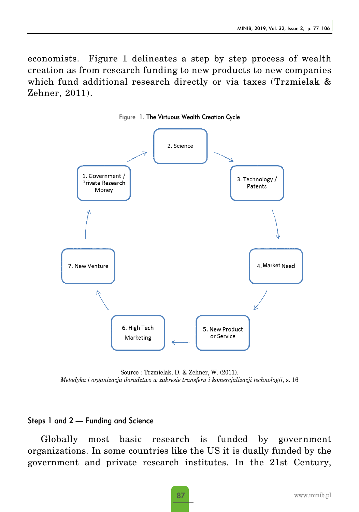economists. Figure 1 delineates a step by step process of wealth creation as from research funding to new products to new companies which fund additional research directly or via taxes (Trzmielak & Zehner, 2011).



Figure 1. The Virtuous Wealth Creation Cycle

Source : Trzmielak, D. & Zehner, W. (2011). *Metodyka i organizacja doradztwo w zakresie transferu i komercjalizacji technologii,* s. 16

#### Steps 1 and 2 — Funding and Science

Globally most basic research is funded by government organizations. In some countries like the US it is dually funded by the government and private research institutes. In the 21st Century,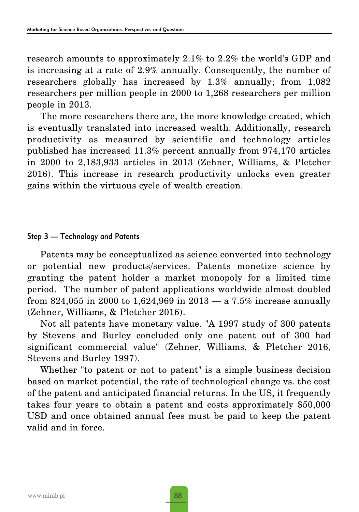research amounts to approximately 2.1% to 2.2% the world's GDP and is increasing at a rate of 2.9% annually. Consequently, the number of researchers globally has increased by 1.3% annually; from 1,082 researchers per million people in 2000 to 1,268 researchers per million people in 2013.

The more researchers there are, the more knowledge created, which is eventually translated into increased wealth. Additionally, research productivity as measured by scientific and technology articles published has increased 11.3% percent annually from 974,170 articles in 2000 to 2,183,933 articles in 2013 (Zehner, Williams, & Pletcher 2016). This increase in research productivity unlocks even greater gains within the virtuous cycle of wealth creation.

#### Step 3 — Technology and Patents

Patents may be conceptualized as science converted into technology or potential new products/services. Patents monetize science by granting the patent holder a market monopoly for a limited time period. The number of patent applications worldwide almost doubled from 824,055 in 2000 to 1,624,969 in 2013 — a 7.5% increase annually (Zehner, Williams, & Pletcher 2016).

Not all patents have monetary value. "A 1997 study of 300 patents by Stevens and Burley concluded only one patent out of 300 had significant commercial value" (Zehner, Williams, & Pletcher 2016, Stevens and Burley 1997).

Whether "to patent or not to patent" is a simple business decision based on market potential, the rate of technological change vs. the cost of the patent and anticipated financial returns. In the US, it frequently takes four years to obtain a patent and costs approximately \$50,000 USD and once obtained annual fees must be paid to keep the patent valid and in force.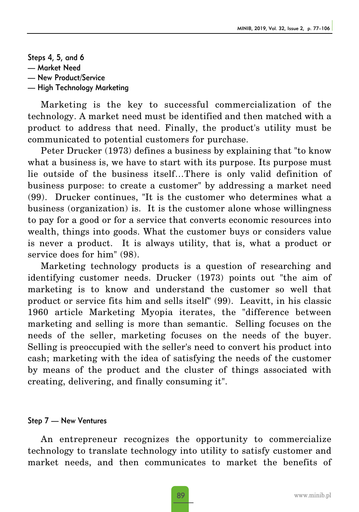Steps 4, 5, and 6 — Market Need — New Product/Service — High Technology Marketing

Marketing is the key to successful commercialization of the technology. A market need must be identified and then matched with a product to address that need. Finally, the product's utility must be communicated to potential customers for purchase.

Peter Drucker (1973) defines a business by explaining that "to know what a business is, we have to start with its purpose. Its purpose must lie outside of the business itself…There is only valid definition of business purpose: to create a customer" by addressing a market need (99). Drucker continues, "It is the customer who determines what a business (organization) is. It is the customer alone whose willingness to pay for a good or for a service that converts economic resources into wealth, things into goods. What the customer buys or considers value is never a product. It is always utility, that is, what a product or service does for him" (98).

Marketing technology products is a question of researching and identifying customer needs. Drucker (1973) points out "the aim of marketing is to know and understand the customer so well that product or service fits him and sells itself" (99). Leavitt, in his classic 1960 article Marketing Myopia iterates, the "difference between marketing and selling is more than semantic. Selling focuses on the needs of the seller, marketing focuses on the needs of the buyer. Selling is preoccupied with the seller's need to convert his product into cash; marketing with the idea of satisfying the needs of the customer by means of the product and the cluster of things associated with creating, delivering, and finally consuming it".

#### Step 7 — New Ventures

An entrepreneur recognizes the opportunity to commercialize technology to translate technology into utility to satisfy customer and market needs, and then communicates to market the benefits of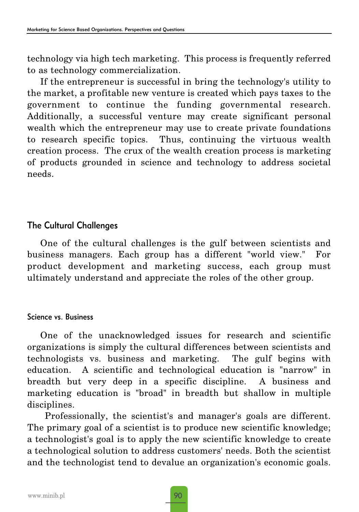technology via high tech marketing. This process is frequently referred to as technology commercialization.

If the entrepreneur is successful in bring the technology's utility to the market, a profitable new venture is created which pays taxes to the government to continue the funding governmental research. Additionally, a successful venture may create significant personal wealth which the entrepreneur may use to create private foundations to research specific topics. Thus, continuing the virtuous wealth creation process. The crux of the wealth creation process is marketing of products grounded in science and technology to address societal needs.

#### The Cultural Challenges

One of the cultural challenges is the gulf between scientists and business managers. Each group has a different "world view." For product development and marketing success, each group must ultimately understand and appreciate the roles of the other group.

#### Science vs. Business

One of the unacknowledged issues for research and scientific organizations is simply the cultural differences between scientists and technologists vs. business and marketing. The gulf begins with education. A scientific and technological education is "narrow" in breadth but very deep in a specific discipline. A business and marketing education is "broad" in breadth but shallow in multiple disciplines.

Professionally, the scientist's and manager's goals are different. The primary goal of a scientist is to produce new scientific knowledge; a technologist's goal is to apply the new scientific knowledge to create a technological solution to address customers' needs. Both the scientist and the technologist tend to devalue an organization's economic goals.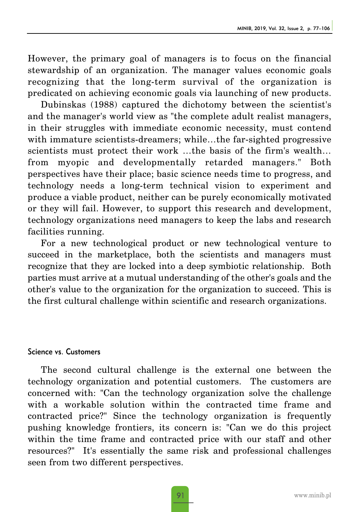However, the primary goal of managers is to focus on the financial stewardship of an organization. The manager values economic goals recognizing that the long-term survival of the organization is predicated on achieving economic goals via launching of new products.

Dubinskas (1988) captured the dichotomy between the scientist's and the manager's world view as "the complete adult realist managers, in their struggles with immediate economic necessity, must contend with immature scientists-dreamers; while…the far-sighted progressive scientists must protect their work …the basis of the firm's wealth… from myopic and developmentally retarded managers." Both perspectives have their place; basic science needs time to progress, and technology needs a long-term technical vision to experiment and produce a viable product, neither can be purely economically motivated or they will fail. However, to support this research and development, technology organizations need managers to keep the labs and research facilities running.

For a new technological product or new technological venture to succeed in the marketplace, both the scientists and managers must recognize that they are locked into a deep symbiotic relationship. Both parties must arrive at a mutual understanding of the other's goals and the other's value to the organization for the organization to succeed. This is the first cultural challenge within scientific and research organizations.

#### Science vs. Customers

The second cultural challenge is the external one between the technology organization and potential customers. The customers are concerned with: "Can the technology organization solve the challenge with a workable solution within the contracted time frame and contracted price?" Since the technology organization is frequently pushing knowledge frontiers, its concern is: "Can we do this project within the time frame and contracted price with our staff and other resources?" It's essentially the same risk and professional challenges seen from two different perspectives.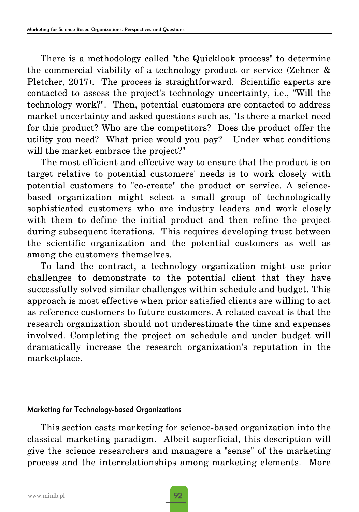There is a methodology called "the Quicklook process" to determine the commercial viability of a technology product or service (Zehner & Pletcher, 2017). The process is straightforward. Scientific experts are contacted to assess the project's technology uncertainty, i.e., "Will the technology work?". Then, potential customers are contacted to address market uncertainty and asked questions such as, "Is there a market need for this product? Who are the competitors? Does the product offer the utility you need? What price would you pay? Under what conditions will the market embrace the project?"

The most efficient and effective way to ensure that the product is on target relative to potential customers' needs is to work closely with potential customers to "co-create" the product or service. A sciencebased organization might select a small group of technologically sophisticated customers who are industry leaders and work closely with them to define the initial product and then refine the project during subsequent iterations. This requires developing trust between the scientific organization and the potential customers as well as among the customers themselves.

To land the contract, a technology organization might use prior challenges to demonstrate to the potential client that they have successfully solved similar challenges within schedule and budget. This approach is most effective when prior satisfied clients are willing to act as reference customers to future customers. A related caveat is that the research organization should not underestimate the time and expenses involved. Completing the project on schedule and under budget will dramatically increase the research organization's reputation in the marketplace.

#### Marketing for Technology-based Organizations

This section casts marketing for science-based organization into the classical marketing paradigm. Albeit superficial, this description will give the science researchers and managers a "sense" of the marketing process and the interrelationships among marketing elements. More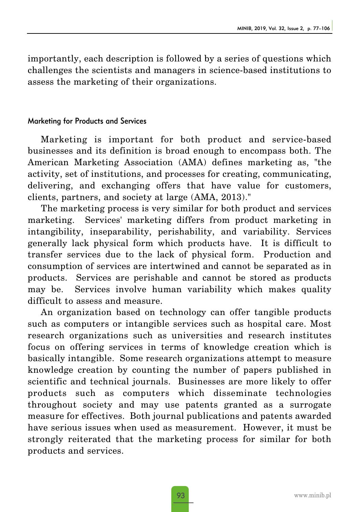importantly, each description is followed by a series of questions which challenges the scientists and managers in science-based institutions to assess the marketing of their organizations.

#### Marketing for Products and Services

Marketing is important for both product and service-based businesses and its definition is broad enough to encompass both. The American Marketing Association (AMA) defines marketing as, "the activity, set of institutions, and processes for creating, communicating, delivering, and exchanging offers that have value for customers, clients, partners, and society at large (AMA, 2013)."

The marketing process is very similar for both product and services marketing. Services' marketing differs from product marketing in intangibility, inseparability, perishability, and variability. Services generally lack physical form which products have. It is difficult to transfer services due to the lack of physical form. Production and consumption of services are intertwined and cannot be separated as in products. Services are perishable and cannot be stored as products may be. Services involve human variability which makes quality difficult to assess and measure.

An organization based on technology can offer tangible products such as computers or intangible services such as hospital care. Most research organizations such as universities and research institutes focus on offering services in terms of knowledge creation which is basically intangible. Some research organizations attempt to measure knowledge creation by counting the number of papers published in scientific and technical journals. Businesses are more likely to offer products such as computers which disseminate technologies throughout society and may use patents granted as a surrogate measure for effectives. Both journal publications and patents awarded have serious issues when used as measurement. However, it must be strongly reiterated that the marketing process for similar for both products and services.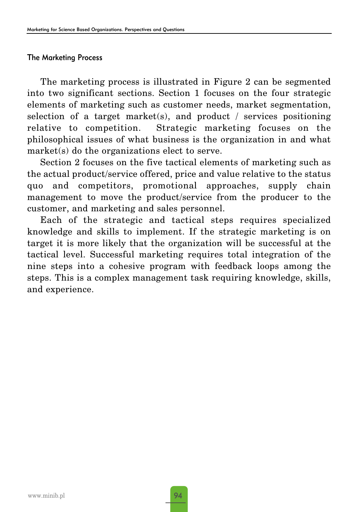#### The Marketing Process

The marketing process is illustrated in Figure 2 can be segmented into two significant sections. Section 1 focuses on the four strategic elements of marketing such as customer needs, market segmentation, selection of a target market(s), and product / services positioning relative to competition. Strategic marketing focuses on the philosophical issues of what business is the organization in and what market(s) do the organizations elect to serve.

Section 2 focuses on the five tactical elements of marketing such as the actual product/service offered, price and value relative to the status quo and competitors, promotional approaches, supply chain management to move the product/service from the producer to the customer, and marketing and sales personnel.

Each of the strategic and tactical steps requires specialized knowledge and skills to implement. If the strategic marketing is on target it is more likely that the organization will be successful at the tactical level. Successful marketing requires total integration of the nine steps into a cohesive program with feedback loops among the steps. This is a complex management task requiring knowledge, skills, and experience.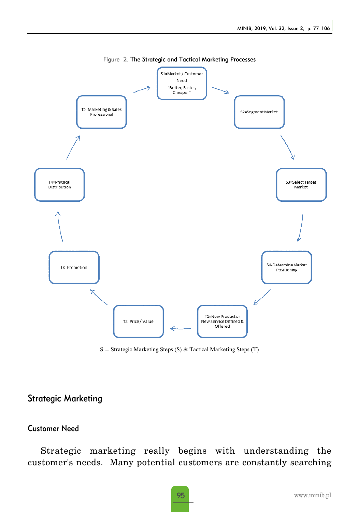



 $S =$  Strategic Marketing Steps (S) & Tactical Marketing Steps (T)

#### Strategic Marketing

#### Customer Need

Strategic marketing really begins with understanding the customer's needs. Many potential customers are constantly searching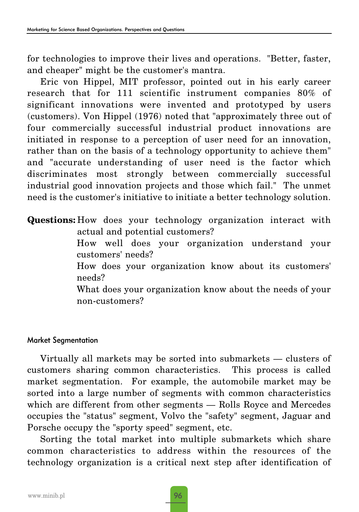for technologies to improve their lives and operations. "Better, faster, and cheaper" might be the customer's mantra.

Eric von Hippel, MIT professor, pointed out in his early career research that for 111 scientific instrument companies 80% of significant innovations were invented and prototyped by users (customers). Von Hippel (1976) noted that "approximately three out of four commercially successful industrial product innovations are initiated in response to a perception of user need for an innovation, rather than on the basis of a technology opportunity to achieve them" and "accurate understanding of user need is the factor which discriminates most strongly between commercially successful industrial good innovation projects and those which fail." The unmet need is the customer's initiative to initiate a better technology solution.

**Questions:** How does your technology organization interact with actual and potential customers? How well does your organization understand your customers' needs? How does your organization know about its customers' needs? What does your organization know about the needs of your non-customers?

#### Market Segmentation

Virtually all markets may be sorted into submarkets — clusters of customers sharing common characteristics. This process is called market segmentation. For example, the automobile market may be sorted into a large number of segments with common characteristics which are different from other segments — Rolls Royce and Mercedes occupies the "status" segment, Volvo the "safety" segment, Jaguar and Porsche occupy the "sporty speed" segment, etc.

Sorting the total market into multiple submarkets which share common characteristics to address within the resources of the technology organization is a critical next step after identification of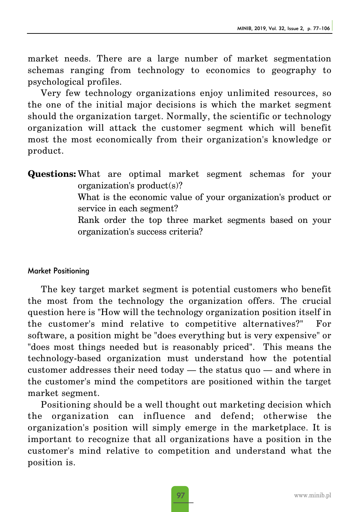market needs. There are a large number of market segmentation schemas ranging from technology to economics to geography to psychological profiles.

Very few technology organizations enjoy unlimited resources, so the one of the initial major decisions is which the market segment should the organization target. Normally, the scientific or technology organization will attack the customer segment which will benefit most the most economically from their organization's knowledge or product.

**Questions:** What are optimal market segment schemas for your organization's product(s)? What is the economic value of your organization's product or service in each segment? Rank order the top three market segments based on your organization's success criteria?

#### Market Positioning

The key target market segment is potential customers who benefit the most from the technology the organization offers. The crucial question here is "How will the technology organization position itself in the customer's mind relative to competitive alternatives?" For software, a position might be "does everything but is very expensive" or "does most things needed but is reasonably priced". This means the technology-based organization must understand how the potential customer addresses their need today — the status quo — and where in the customer's mind the competitors are positioned within the target market segment.

Positioning should be a well thought out marketing decision which the organization can influence and defend; otherwise the organization's position will simply emerge in the marketplace. It is important to recognize that all organizations have a position in the customer's mind relative to competition and understand what the position is.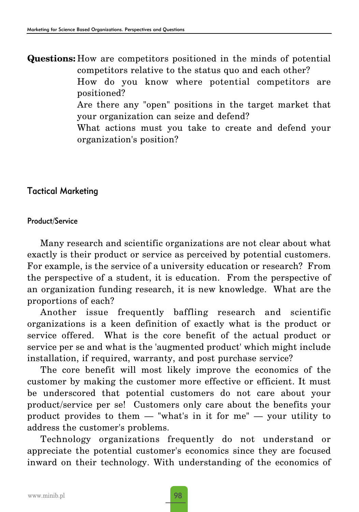**Questions:** How are competitors positioned in the minds of potential competitors relative to the status quo and each other?

> How do you know where potential competitors are positioned?

> Are there any "open" positions in the target market that your organization can seize and defend?

> What actions must you take to create and defend your organization's position?

#### Tactical Marketing

#### Product/Service

Many research and scientific organizations are not clear about what exactly is their product or service as perceived by potential customers. For example, is the service of a university education or research? From the perspective of a student, it is education. From the perspective of an organization funding research, it is new knowledge. What are the proportions of each?

Another issue frequently baffling research and scientific organizations is a keen definition of exactly what is the product or service offered. What is the core benefit of the actual product or service per se and what is the 'augmented product' which might include installation, if required, warranty, and post purchase service?

The core benefit will most likely improve the economics of the customer by making the customer more effective or efficient. It must be underscored that potential customers do not care about your product/service per se! Customers only care about the benefits your product provides to them — "what's in it for me" — your utility to address the customer's problems.

Technology organizations frequently do not understand or appreciate the potential customer's economics since they are focused inward on their technology. With understanding of the economics of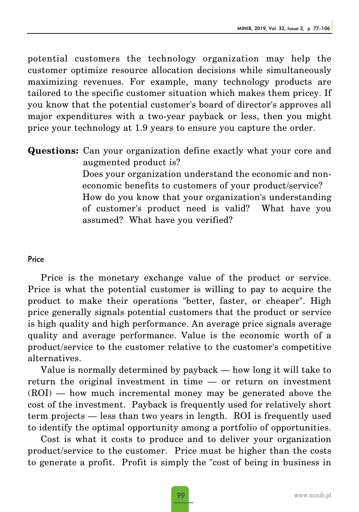potential customers the technology organization may help the customer optimize resource allocation decisions while simultaneously maximizing revenues. For example, many technology products are tailored to the specific customer situation which makes them pricey. If you know that the potential customer's board of director's approves all major expenditures with a two-year payback or less, then you might price your technology at 1.9 years to ensure you capture the order.

**Questions:** Can your organization define exactly what your core and augmented product is? Does your organization understand the economic and noneconomic benefits to customers of your product/service? How do you know that your organization's understanding of customer's product need is valid? What have you assumed? What have you verified?

#### Price

Price is the monetary exchange value of the product or service. Price is what the potential customer is willing to pay to acquire the product to make their operations "better, faster, or cheaper". High price generally signals potential customers that the product or service is high quality and high performance. An average price signals average quality and average performance. Value is the economic worth of a product/service to the customer relative to the customer's competitive alternatives.

Value is normally determined by payback — how long it will take to return the original investment in time — or return on investment (ROI) — how much incremental money may be generated above the cost of the investment. Payback is frequently used for relatively short term projects — less than two years in length. ROI is frequently used to identify the optimal opportunity among a portfolio of opportunities.

Cost is what it costs to produce and to deliver your organization product/service to the customer. Price must be higher than the costs to generate a profit. Profit is simply the "cost of being in business in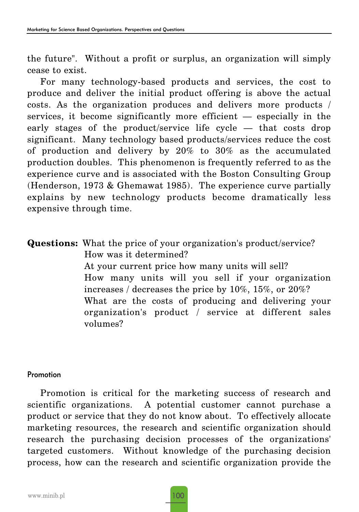the future". Without a profit or surplus, an organization will simply cease to exist.

For many technology-based products and services, the cost to produce and deliver the initial product offering is above the actual costs. As the organization produces and delivers more products / services, it become significantly more efficient — especially in the early stages of the product/service life cycle — that costs drop significant. Many technology based products/services reduce the cost of production and delivery by 20% to 30% as the accumulated production doubles. This phenomenon is frequently referred to as the experience curve and is associated with the Boston Consulting Group (Henderson, 1973 & Ghemawat 1985). The experience curve partially explains by new technology products become dramatically less expensive through time.

**Questions:** What the price of your organization's product/service? How was it determined? At your current price how many units will sell? How many units will you sell if your organization increases / decreases the price by 10%, 15%, or 20%? What are the costs of producing and delivering your organization's product / service at different sales volumes?

#### Promotion

Promotion is critical for the marketing success of research and scientific organizations. A potential customer cannot purchase a product or service that they do not know about. To effectively allocate marketing resources, the research and scientific organization should research the purchasing decision processes of the organizations' targeted customers. Without knowledge of the purchasing decision process, how can the research and scientific organization provide the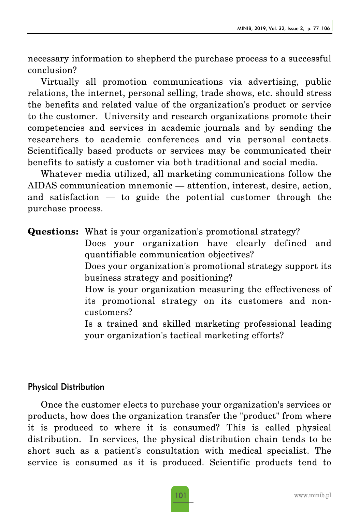necessary information to shepherd the purchase process to a successful conclusion?

Virtually all promotion communications via advertising, public relations, the internet, personal selling, trade shows, etc. should stress the benefits and related value of the organization's product or service to the customer. University and research organizations promote their competencies and services in academic journals and by sending the researchers to academic conferences and via personal contacts. Scientifically based products or services may be communicated their benefits to satisfy a customer via both traditional and social media.

Whatever media utilized, all marketing communications follow the AIDAS communication mnemonic — attention, interest, desire, action, and satisfaction — to guide the potential customer through the purchase process.

**Questions:** What is your organization's promotional strategy?

Does your organization have clearly defined and quantifiable communication objectives?

Does your organization's promotional strategy support its business strategy and positioning?

How is your organization measuring the effectiveness of its promotional strategy on its customers and noncustomers?

Is a trained and skilled marketing professional leading your organization's tactical marketing efforts?

#### Physical Distribution

Once the customer elects to purchase your organization's services or products, how does the organization transfer the "product" from where it is produced to where it is consumed? This is called physical distribution. In services, the physical distribution chain tends to be short such as a patient's consultation with medical specialist. The service is consumed as it is produced. Scientific products tend to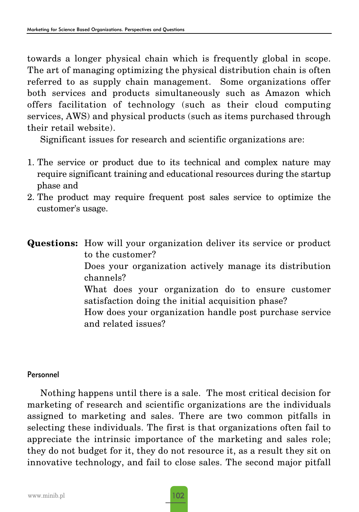towards a longer physical chain which is frequently global in scope. The art of managing optimizing the physical distribution chain is often referred to as supply chain management. Some organizations offer both services and products simultaneously such as Amazon which offers facilitation of technology (such as their cloud computing services, AWS) and physical products (such as items purchased through their retail website).

Significant issues for research and scientific organizations are:

- 1. The service or product due to its technical and complex nature may require significant training and educational resources during the startup phase and
- 2. The product may require frequent post sales service to optimize the customer's usage.

**Questions:** How will your organization deliver its service or product to the customer? Does your organization actively manage its distribution channels? What does your organization do to ensure customer satisfaction doing the initial acquisition phase? How does your organization handle post purchase service and related issues?

#### Personnel

Nothing happens until there is a sale. The most critical decision for marketing of research and scientific organizations are the individuals assigned to marketing and sales. There are two common pitfalls in selecting these individuals. The first is that organizations often fail to appreciate the intrinsic importance of the marketing and sales role; they do not budget for it, they do not resource it, as a result they sit on innovative technology, and fail to close sales. The second major pitfall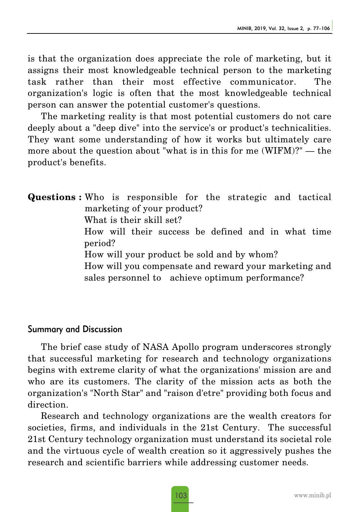is that the organization does appreciate the role of marketing, but it assigns their most knowledgeable technical person to the marketing task rather than their most effective communicator. The organization's logic is often that the most knowledgeable technical person can answer the potential customer's questions.

The marketing reality is that most potential customers do not care deeply about a "deep dive" into the service's or product's technicalities. They want some understanding of how it works but ultimately care more about the question about "what is in this for me (WIFM)?" — the product's benefits.

**Questions :** Who is responsible for the strategic and tactical marketing of your product? What is their skill set? How will their success be defined and in what time period? How will your product be sold and by whom? How will you compensate and reward your marketing and sales personnel to achieve optimum performance?

#### Summary and Discussion

The brief case study of NASA Apollo program underscores strongly that successful marketing for research and technology organizations begins with extreme clarity of what the organizations' mission are and who are its customers. The clarity of the mission acts as both the organization's "North Star" and "raison d'etre" providing both focus and direction.

Research and technology organizations are the wealth creators for societies, firms, and individuals in the 21st Century. The successful 21st Century technology organization must understand its societal role and the virtuous cycle of wealth creation so it aggressively pushes the research and scientific barriers while addressing customer needs.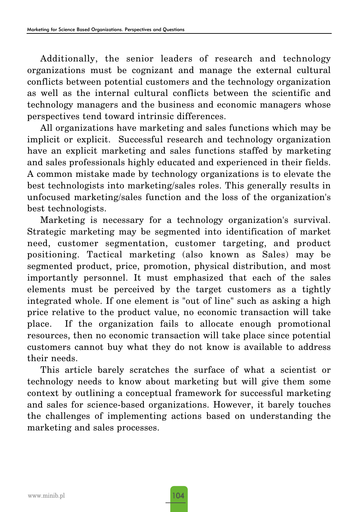Additionally, the senior leaders of research and technology organizations must be cognizant and manage the external cultural conflicts between potential customers and the technology organization as well as the internal cultural conflicts between the scientific and technology managers and the business and economic managers whose perspectives tend toward intrinsic differences.

All organizations have marketing and sales functions which may be implicit or explicit. Successful research and technology organization have an explicit marketing and sales functions staffed by marketing and sales professionals highly educated and experienced in their fields. A common mistake made by technology organizations is to elevate the best technologists into marketing/sales roles. This generally results in unfocused marketing/sales function and the loss of the organization's best technologists.

Marketing is necessary for a technology organization's survival. Strategic marketing may be segmented into identification of market need, customer segmentation, customer targeting, and product positioning. Tactical marketing (also known as Sales) may be segmented product, price, promotion, physical distribution, and most importantly personnel. It must emphasized that each of the sales elements must be perceived by the target customers as a tightly integrated whole. If one element is "out of line" such as asking a high price relative to the product value, no economic transaction will take place. If the organization fails to allocate enough promotional resources, then no economic transaction will take place since potential customers cannot buy what they do not know is available to address their needs.

This article barely scratches the surface of what a scientist or technology needs to know about marketing but will give them some context by outlining a conceptual framework for successful marketing and sales for science-based organizations. However, it barely touches the challenges of implementing actions based on understanding the marketing and sales processes.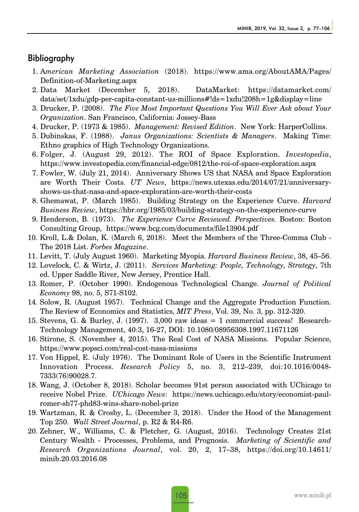#### Bibliography

- 1. A*merican Marketing Association* (2018). https://www.ama.org/AboutAMA/Pages/ Definition-of-Marketing.aspx
- 2. Data Market (December 5, 2018). DataMarket: https://datamarket.com/ data/set/1xdu/gdp-per-capita-constant-us-millions#!ds=1xdu!208h=1g&display=line
- 3. Drucker, P. (2008). *The Five Most Important Questions You Will Ever Ask about Your Organization*. San Francisco, California: Jossey-Bass
- 4. Drucker, P. (1973 & 1985). *Management: Revised Edition*. New York: HarperCollins.
- 5. Dubinskas, F. (1988). *Janus Organizations: Scientists & Managers*. Making Time: Ethno graphics of High Technology Organizations.
- 6. Folger, J. (August 29, 2012). The ROI of Space Exploration. *Investopedia*, https://www.investopedia.com/financial-edge/0812/the-roi-of-space-exploration.aspx
- 7. Fowler, W. (July 21, 2014). Anniversary Shows US that NASA and Space Exploration are Worth Their Costs. *UT News*, https://news.utexas.edu/2014/07/21/anniversaryshows-us-that-nasa-and-space-exploration-are-worth-their-costs
- 8. Ghemawat, P. (March 1985). Building Strategy on the Experience Curve. *Harvard Business Review*, https://hbr.org/1985/03/building-strategy-on-the-experience-curve
- 9. Henderson, B. (1973). *The Experience Curve Reviewed. Perspectives.* Boston: Boston Consulting Group, https://www.bcg.com/documents/file13904.pdf
- 10. Kroll, L.& Dolan, K. (March 6, 2018). Meet the Members of the Three-Comma Club The 2018 List. *Forbes Magazine*.
- 11. Levitt, T. (July August 1960). Marketing Myopia. *Harvard Business Review*, 38, 45–56.
- 12. Lovelock, C. & Wirtz, J. (2011). *Services Marketing: People, Technology, Strategy*, 7th ed. Upper Saddle River, New Jersey, Prentice Hall.
- 13. Romer, P. (October 1990). Endogenous Technological Change. *Journal of Political Economy* 98, no. 5, S71-S102.
- 14. Solow, R. (August 1957). Technical Change and the Aggregate Production Function. The Review of Economics and Statistics, *MIT Press*, Vol. 39, No. 3, pp. 312-320.
- 15. Stevens, G. & Burley, J. (1997). 3,000 raw ideas = 1 commercial success! Research-Technology Management, 40:3, 16-27, DOI: 10.1080/08956308.1997.11671126
- 16. Stirone, S. (November 4, 2015). The Real Cost of NASA Missions. Popular Science, https://www.popsci.com/real-cost-nasa-missions
- 17. Von Hippel, E. (July 1976). The Dominant Role of Users in the Scientific Instrument Innovation Process. *Research Policy* 5, no. 3, 212–239, doi:10.1016/0048- 7333(76)90028.7.
- 18. Wang, J. (October 8, 2018). Scholar becomes 91st person associated with UChicago to receive Nobel Prize. *UChicago News*: https://news.uchicago.edu/story/economist-paulromer-sb77-phd83-wins-share-nobel-prize
- 19. Wartzman, R. & Crosby, L. (December 3, 2018). Under the Hood of the Management Top 250. *Wall Street Journal*, p. R2 & R4-R6.
- 20. Zehner, W., Williams, C. & Pletcher, G. (August, 2016). Technology Creates 21st Century Wealth - Processes, Problems, and Prognosis. *Marketing of Scientific and Research Organizations Journal*, vol. 20, 2, 17–38, https://doi.org/10.14611/ minib.20.03.2016.08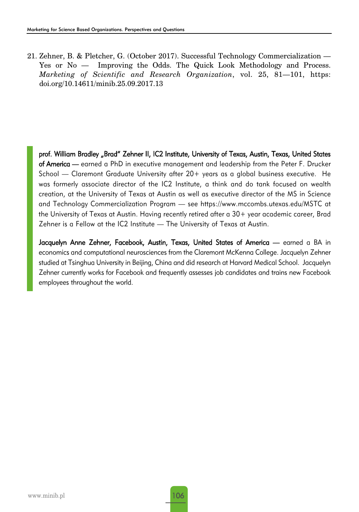21. Zehner, B. & Pletcher, G. (October 2017). Successful Technology Commercialization — Yes or No — Improving the Odds. The Quick Look Methodology and Process. *Marketing of Scientific and Research Organization*, vol. 25, 81—101, https: doi.org/10.14611/minib.25.09.2017.13

prof. William Bradley "Brad" Zehner II, IC2 Institute, University of Texas, Austin, Texas, United States of America — earned a PhD in executive management and leadership from the Peter F. Drucker School — Claremont Graduate University after 20+ years as a global business executive. He was formerly associate director of the IC2 Institute, a think and do tank focused on wealth creation, at the University of Texas at Austin as well as executive director of the MS in Science and Technology Commercialization Program — see https://www.mccombs.utexas.edu/MSTC at the University of Texas at Austin. Having recently retired after a 30+ year academic career, Brad Zehner is a Fellow at the IC2 Institute — The University of Texas at Austin.

Jacquelyn Anne Zehner, Facebook, Austin, Texas, United States of America — earned a BA in economics and computational neurosciences from the Claremont McKenna College. Jacquelyn Zehner studied at Tsinghua University in Beijing, China and did research at Harvard Medical School. Jacquelyn Zehner currently works for Facebook and frequently assesses job candidates and trains new Facebook employees throughout the world.